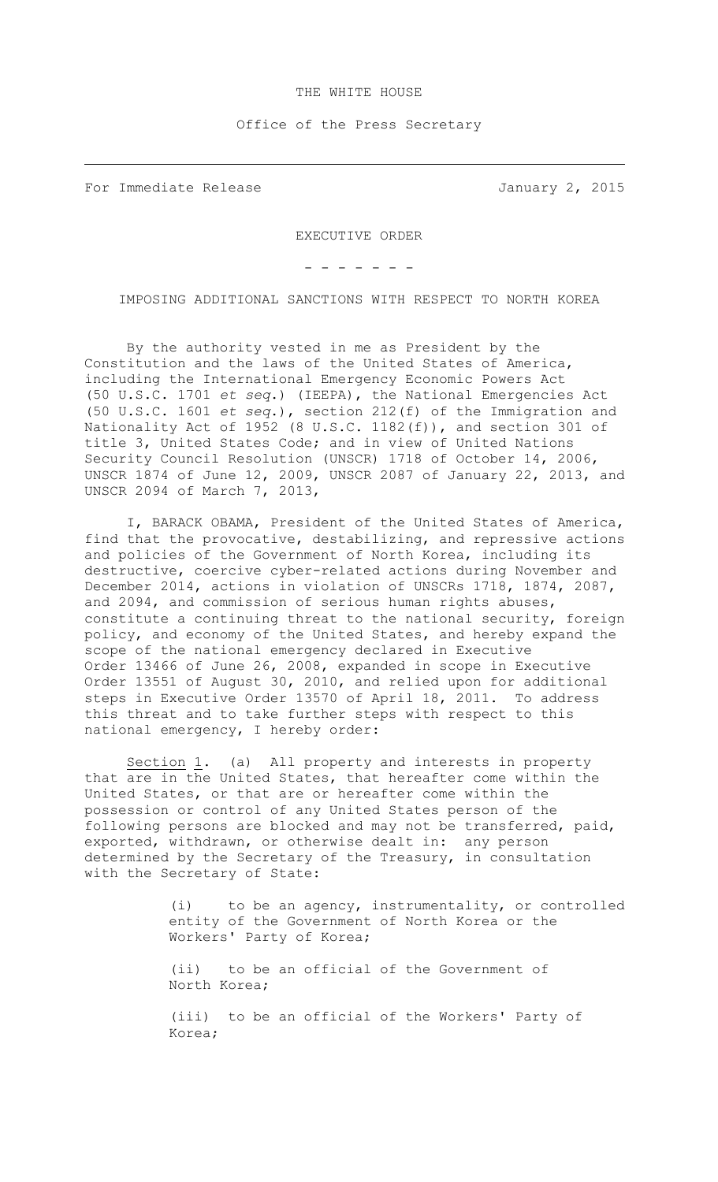## THE WHITE HOUSE

Office of the Press Secretary

For Immediate Release **January 2, 2015** 

EXECUTIVE ORDER

- - - - - - -

IMPOSING ADDITIONAL SANCTIONS WITH RESPECT TO NORTH KOREA

By the authority vested in me as President by the Constitution and the laws of the United States of America, including the International Emergency Economic Powers Act (50 U.S.C. 1701 *et seq*.) (IEEPA), the National Emergencies Act (50 U.S.C. 1601 *et seq*.), section 212(f) of the Immigration and Nationality Act of 1952 (8 U.S.C. 1182(f)), and section 301 of title 3, United States Code; and in view of United Nations Security Council Resolution (UNSCR) 1718 of October 14, 2006, UNSCR 1874 of June 12, 2009, UNSCR 2087 of January 22, 2013, and UNSCR 2094 of March 7, 2013,

I, BARACK OBAMA, President of the United States of America, find that the provocative, destabilizing, and repressive actions and policies of the Government of North Korea, including its destructive, coercive cyber-related actions during November and December 2014, actions in violation of UNSCRs 1718, 1874, 2087, and 2094, and commission of serious human rights abuses, constitute a continuing threat to the national security, foreign policy, and economy of the United States, and hereby expand the scope of the national emergency declared in Executive Order 13466 of June 26, 2008, expanded in scope in Executive Order 13551 of August 30, 2010, and relied upon for additional steps in Executive Order 13570 of April 18, 2011. To address this threat and to take further steps with respect to this national emergency, I hereby order:

Section 1. (a) All property and interests in property that are in the United States, that hereafter come within the United States, or that are or hereafter come within the possession or control of any United States person of the following persons are blocked and may not be transferred, paid, exported, withdrawn, or otherwise dealt in: any person determined by the Secretary of the Treasury, in consultation with the Secretary of State:

> (i) to be an agency, instrumentality, or controlled entity of the Government of North Korea or the Workers' Party of Korea;

(ii) to be an official of the Government of North Korea;

(iii) to be an official of the Workers' Party of Korea;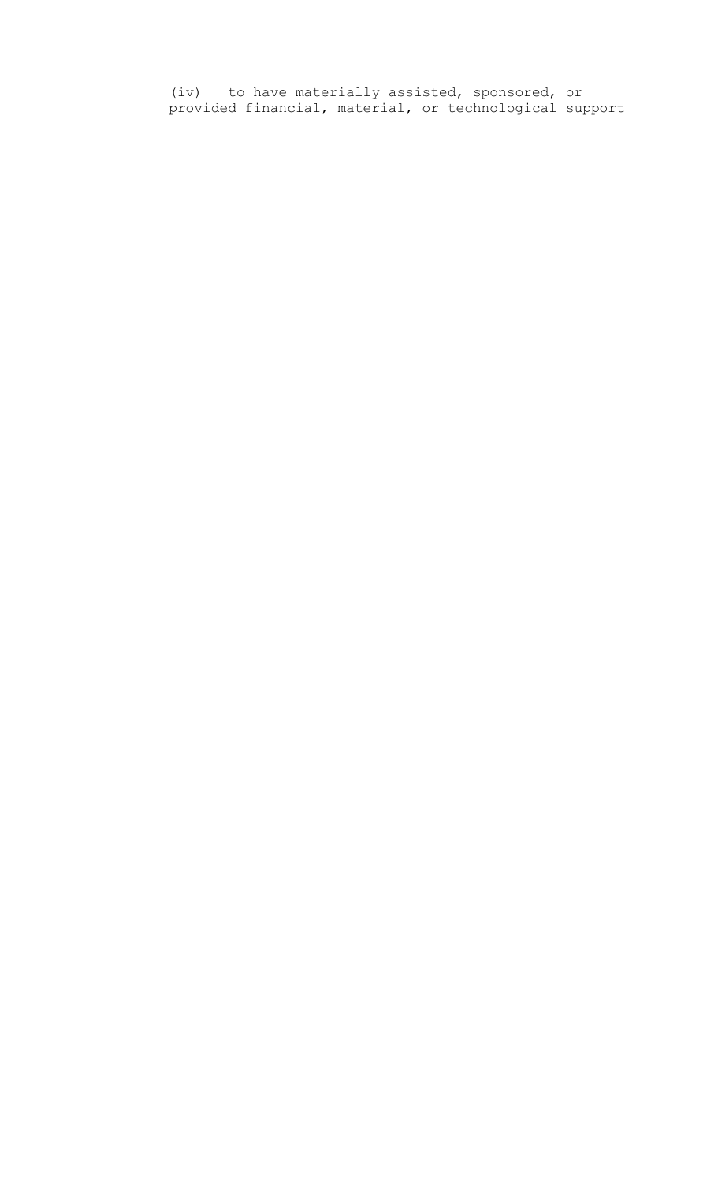(iv) to have materially assisted, sponsored, or provided financial, material, or technological support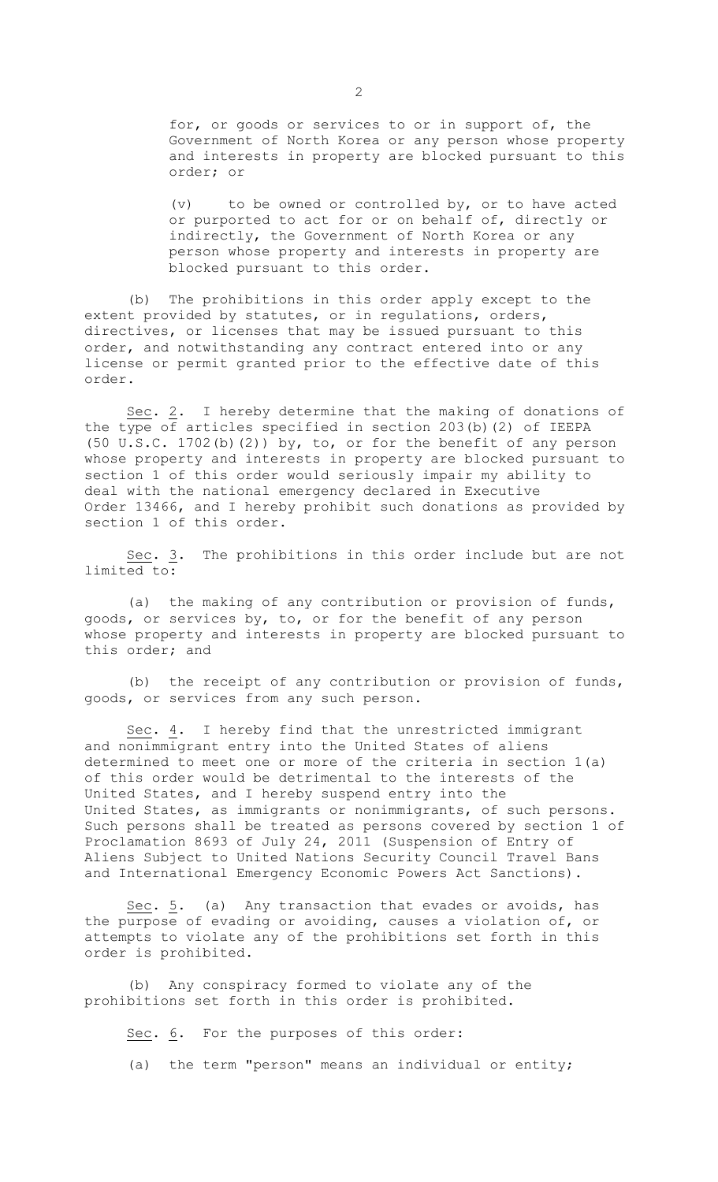for, or goods or services to or in support of, the Government of North Korea or any person whose property and interests in property are blocked pursuant to this order; or

(v) to be owned or controlled by, or to have acted or purported to act for or on behalf of, directly or indirectly, the Government of North Korea or any person whose property and interests in property are blocked pursuant to this order.

(b) The prohibitions in this order apply except to the extent provided by statutes, or in regulations, orders, directives, or licenses that may be issued pursuant to this order, and notwithstanding any contract entered into or any license or permit granted prior to the effective date of this order.

Sec. 2. I hereby determine that the making of donations of the type of articles specified in section 203(b)(2) of IEEPA (50 U.S.C. 1702(b)(2)) by, to, or for the benefit of any person whose property and interests in property are blocked pursuant to section 1 of this order would seriously impair my ability to deal with the national emergency declared in Executive Order 13466, and I hereby prohibit such donations as provided by section 1 of this order.

Sec. 3. The prohibitions in this order include but are not limited to:

(a) the making of any contribution or provision of funds, goods, or services by, to, or for the benefit of any person whose property and interests in property are blocked pursuant to this order; and

(b) the receipt of any contribution or provision of funds, goods, or services from any such person.

Sec. 4. I hereby find that the unrestricted immigrant and nonimmigrant entry into the United States of aliens determined to meet one or more of the criteria in section 1(a) of this order would be detrimental to the interests of the United States, and I hereby suspend entry into the United States, as immigrants or nonimmigrants, of such persons. Such persons shall be treated as persons covered by section 1 of Proclamation 8693 of July 24, 2011 (Suspension of Entry of Aliens Subject to United Nations Security Council Travel Bans and International Emergency Economic Powers Act Sanctions).

Sec. 5. (a) Any transaction that evades or avoids, has the purpose of evading or avoiding, causes a violation of, or attempts to violate any of the prohibitions set forth in this order is prohibited.

(b) Any conspiracy formed to violate any of the prohibitions set forth in this order is prohibited.

Sec. 6. For the purposes of this order:

(a) the term "person" means an individual or entity;